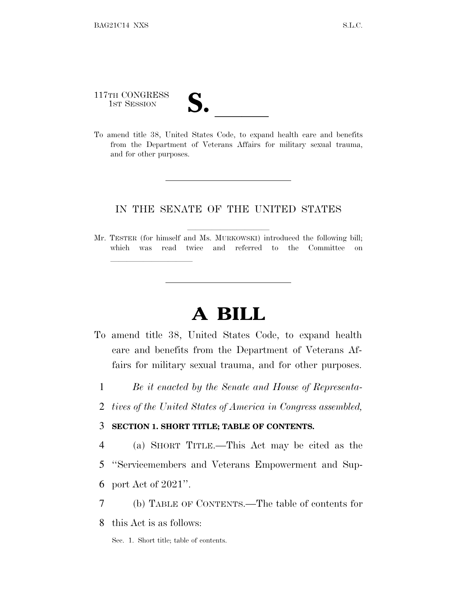117TH CONGRESS 117TH CONGRESS<br>
1ST SESSION<br>
To amend title 38, United States Code, to expand health care and benefits

lland and a state of the state of the state of the state of the state of the state of the state of the state o

from the Department of Veterans Affairs for military sexual trauma, and for other purposes.

### IN THE SENATE OF THE UNITED STATES

Mr. TESTER (for himself and Ms. MURKOWSKI) introduced the following bill; which was read twice and referred to the Committee on

# **A BILL**

- To amend title 38, United States Code, to expand health care and benefits from the Department of Veterans Affairs for military sexual trauma, and for other purposes.
	- 1 *Be it enacted by the Senate and House of Representa-*
	- 2 *tives of the United States of America in Congress assembled,*

### 3 **SECTION 1. SHORT TITLE; TABLE OF CONTENTS.**

- 4 (a) SHORT TITLE.—This Act may be cited as the 5 ''Servicemembers and Veterans Empowerment and Sup-6 port Act of 2021''.
- 7 (b) TABLE OF CONTENTS.—The table of contents for
- 8 this Act is as follows:
	- Sec. 1. Short title; table of contents.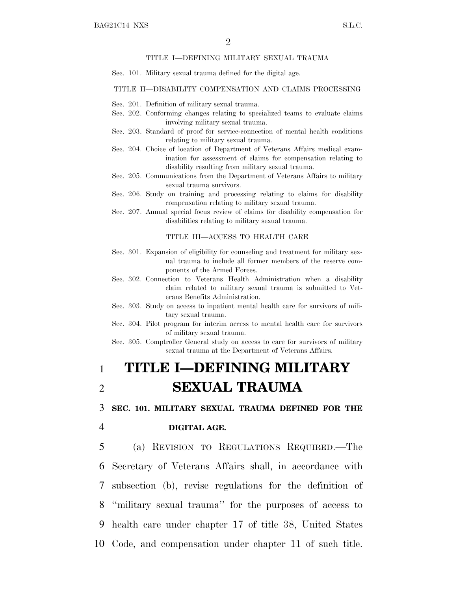#### TITLE I—DEFINING MILITARY SEXUAL TRAUMA

Sec. 101. Military sexual trauma defined for the digital age.

#### TITLE II—DISABILITY COMPENSATION AND CLAIMS PROCESSING

- Sec. 201. Definition of military sexual trauma.
- Sec. 202. Conforming changes relating to specialized teams to evaluate claims involving military sexual trauma.
- Sec. 203. Standard of proof for service-connection of mental health conditions relating to military sexual trauma.
- Sec. 204. Choice of location of Department of Veterans Affairs medical examination for assessment of claims for compensation relating to disability resulting from military sexual trauma.
- Sec. 205. Communications from the Department of Veterans Affairs to military sexual trauma survivors.
- Sec. 206. Study on training and processing relating to claims for disability compensation relating to military sexual trauma.
- Sec. 207. Annual special focus review of claims for disability compensation for disabilities relating to military sexual trauma.

#### TITLE III—ACCESS TO HEALTH CARE

- Sec. 301. Expansion of eligibility for counseling and treatment for military sexual trauma to include all former members of the reserve components of the Armed Forces.
- Sec. 302. Connection to Veterans Health Administration when a disability claim related to military sexual trauma is submitted to Veterans Benefits Administration.
- Sec. 303. Study on access to inpatient mental health care for survivors of military sexual trauma.
- Sec. 304. Pilot program for interim access to mental health care for survivors of military sexual trauma.
- Sec. 305. Comptroller General study on access to care for survivors of military sexual trauma at the Department of Veterans Affairs.

## 1 **TITLE I—DEFINING MILITARY** 2 **SEXUAL TRAUMA**

3 **SEC. 101. MILITARY SEXUAL TRAUMA DEFINED FOR THE**

#### 4 **DIGITAL AGE.**

 (a) REVISION TO REGULATIONS REQUIRED.—The Secretary of Veterans Affairs shall, in accordance with subsection (b), revise regulations for the definition of ''military sexual trauma'' for the purposes of access to health care under chapter 17 of title 38, United States Code, and compensation under chapter 11 of such title.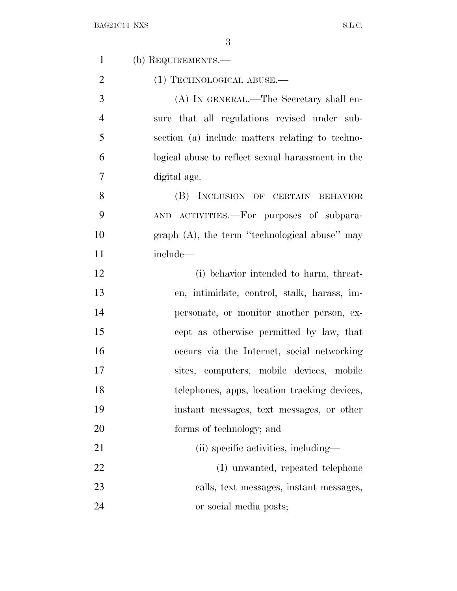| $\mathbf{1}$   | (b) REQUIREMENTS.—                                |
|----------------|---------------------------------------------------|
| $\overline{2}$ | $(1)$ TECHNOLOGICAL ABUSE.—                       |
| 3              | (A) IN GENERAL.—The Secretary shall en-           |
| $\overline{4}$ | sure that all regulations revised under sub-      |
| 5              | section (a) include matters relating to techno-   |
| 6              | logical abuse to reflect sexual harassment in the |
| $\overline{7}$ | digital age.                                      |
| 8              | (B) INCLUSION OF CERTAIN BEHAVIOR                 |
| 9              | AND ACTIVITIES.—For purposes of subpara-          |
| 10             | graph $(A)$ , the term "technological abuse" may  |
| 11             | include—                                          |
| 12             | (i) behavior intended to harm, threat-            |
| 13             | en, intimidate, control, stalk, harass, im-       |
| 14             | personate, or monitor another person, ex-         |
| 15             | cept as otherwise permitted by law, that          |
| 16             | occurs via the Internet, social networking        |
| 17             | sites, computers, mobile devices, mobile          |
| 18             | telephones, apps, location tracking devices,      |
| 19             | instant messages, text messages, or other         |
| 20             | forms of technology; and                          |
| 21             | (ii) specific activities, including—              |
| 22             | (I) unwanted, repeated telephone                  |
| 23             | calls, text messages, instant messages,           |
| 24             | or social media posts;                            |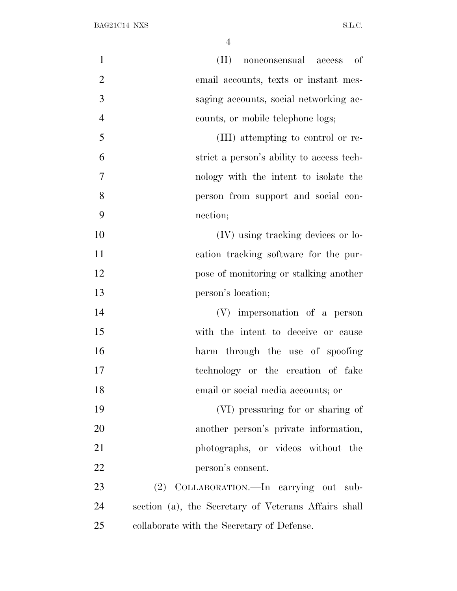| $\mathbf{1}$   | $(\Pi)$<br>nonconsensual access of                   |
|----------------|------------------------------------------------------|
| $\overline{2}$ | email accounts, texts or instant mes-                |
| 3              | saging accounts, social networking ac-               |
| $\overline{4}$ | counts, or mobile telephone logs;                    |
| 5              | (III) attempting to control or re-                   |
| 6              | strict a person's ability to access tech-            |
| 7              | nology with the intent to isolate the                |
| 8              | person from support and social con-                  |
| 9              | nection;                                             |
| 10             | (IV) using tracking devices or lo-                   |
| 11             | cation tracking software for the pur-                |
| 12             | pose of monitoring or stalking another               |
| 13             | person's location;                                   |
| 14             | (V) impersonation of a person                        |
| 15             | with the intent to deceive or cause                  |
| 16             | harm through the use of spoofing                     |
| 17             | technology or the creation of fake                   |
| 18             | email or social media accounts; or                   |
| 19             | (VI) pressuring for or sharing of                    |
| 20             | another person's private information,                |
| 21             | photographs, or videos without the                   |
| 22             | person's consent.                                    |
| 23             | (2) COLLABORATION.-In carrying out sub-              |
| 24             | section (a), the Secretary of Veterans Affairs shall |
| 25             | collaborate with the Secretary of Defense.           |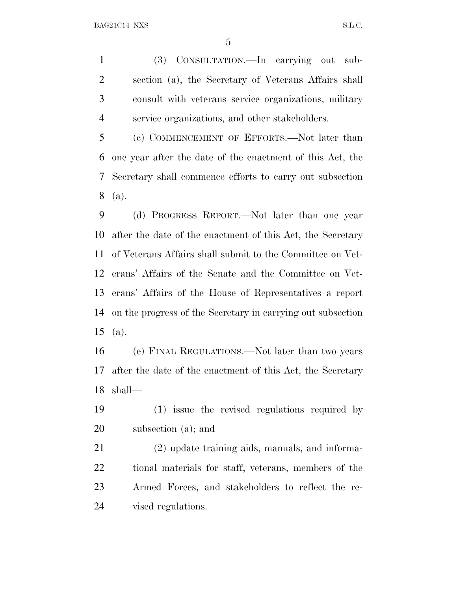(3) CONSULTATION.—In carrying out sub- section (a), the Secretary of Veterans Affairs shall consult with veterans service organizations, military service organizations, and other stakeholders.

 (c) COMMENCEMENT OF EFFORTS.—Not later than one year after the date of the enactment of this Act, the Secretary shall commence efforts to carry out subsection (a).

 (d) PROGRESS REPORT.—Not later than one year after the date of the enactment of this Act, the Secretary of Veterans Affairs shall submit to the Committee on Vet- erans' Affairs of the Senate and the Committee on Vet- erans' Affairs of the House of Representatives a report on the progress of the Secretary in carrying out subsection (a).

 (e) FINAL REGULATIONS.—Not later than two years after the date of the enactment of this Act, the Secretary shall—

 (1) issue the revised regulations required by subsection (a); and

 (2) update training aids, manuals, and informa- tional materials for staff, veterans, members of the Armed Forces, and stakeholders to reflect the re-vised regulations.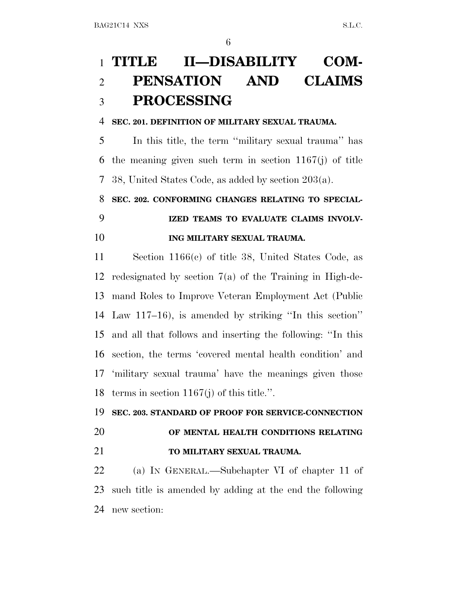# **TITLE II—DISABILITY COM- PENSATION AND CLAIMS PROCESSING**

### **SEC. 201. DEFINITION OF MILITARY SEXUAL TRAUMA.**

 In this title, the term ''military sexual trauma'' has the meaning given such term in section 1167(j) of title 38, United States Code, as added by section 203(a).

### **SEC. 202. CONFORMING CHANGES RELATING TO SPECIAL-**

# **IZED TEAMS TO EVALUATE CLAIMS INVOLV-**

## **ING MILITARY SEXUAL TRAUMA.**

 Section 1166(c) of title 38, United States Code, as redesignated by section 7(a) of the Training in High-de- mand Roles to Improve Veteran Employment Act (Public Law 117–16), is amended by striking ''In this section'' and all that follows and inserting the following: ''In this section, the terms 'covered mental health condition' and 'military sexual trauma' have the meanings given those terms in section 1167(j) of this title.''.

## **SEC. 203. STANDARD OF PROOF FOR SERVICE-CONNECTION OF MENTAL HEALTH CONDITIONS RELATING TO MILITARY SEXUAL TRAUMA.**

 (a) I<sup>N</sup> GENERAL.—Subchapter VI of chapter 11 of such title is amended by adding at the end the following new section: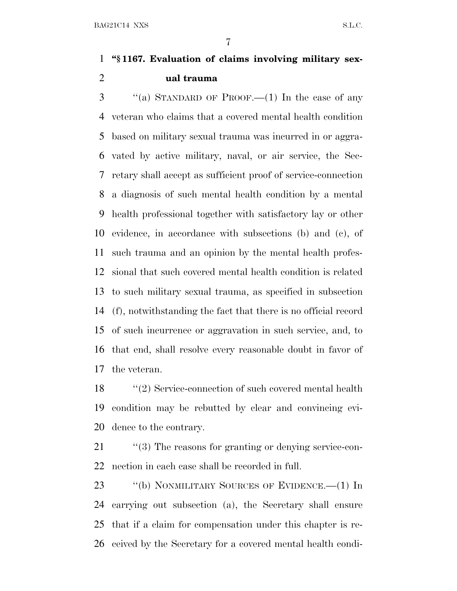## **''§ 1167. Evaluation of claims involving military sex-ual trauma**

 ''(a) STANDARD OF PROOF.—(1) In the case of any veteran who claims that a covered mental health condition based on military sexual trauma was incurred in or aggra- vated by active military, naval, or air service, the Sec- retary shall accept as sufficient proof of service-connection a diagnosis of such mental health condition by a mental health professional together with satisfactory lay or other evidence, in accordance with subsections (b) and (c), of such trauma and an opinion by the mental health profes- sional that such covered mental health condition is related to such military sexual trauma, as specified in subsection (f), notwithstanding the fact that there is no official record of such incurrence or aggravation in such service, and, to that end, shall resolve every reasonable doubt in favor of the veteran.

 ''(2) Service-connection of such covered mental health condition may be rebutted by clear and convincing evi-dence to the contrary.

21  $\frac{1}{2}$  (3) The reasons for granting or denying service-con-nection in each case shall be recorded in full.

23 "(b) NONMILITARY SOURCES OF EVIDENCE.—(1) In carrying out subsection (a), the Secretary shall ensure that if a claim for compensation under this chapter is re-ceived by the Secretary for a covered mental health condi-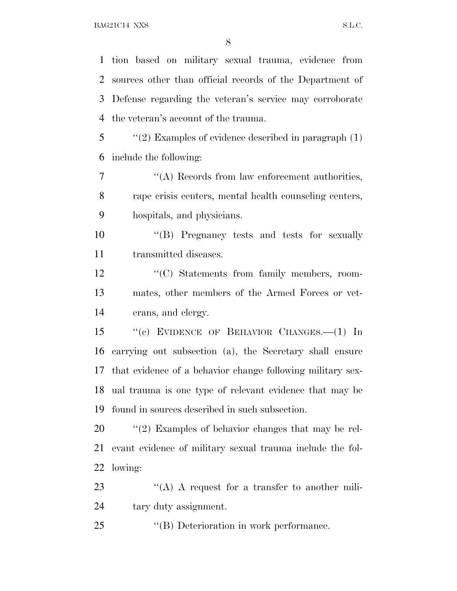tion based on military sexual trauma, evidence from sources other than official records of the Department of Defense regarding the veteran's service may corroborate the veteran's account of the trauma.

 ''(2) Examples of evidence described in paragraph (1) include the following:

 ''(A) Records from law enforcement authorities, rape crisis centers, mental health counseling centers, hospitals, and physicians.

10  $\text{``(B)}$  Pregnancy tests and tests for sexually transmitted diseases.

12 "(C) Statements from family members, room- mates, other members of the Armed Forces or vet-erans, and clergy.

 ''(c) EVIDENCE OF BEHAVIOR CHANGES.—(1) In carrying out subsection (a), the Secretary shall ensure that evidence of a behavior change following military sex- ual trauma is one type of relevant evidence that may be found in sources described in such subsection.

20  $\frac{1}{2}$  (2) Examples of behavior changes that may be rel- evant evidence of military sexual trauma include the fol-lowing:

23 "(A) A request for a transfer to another mili-tary duty assignment.

''(B) Deterioration in work performance.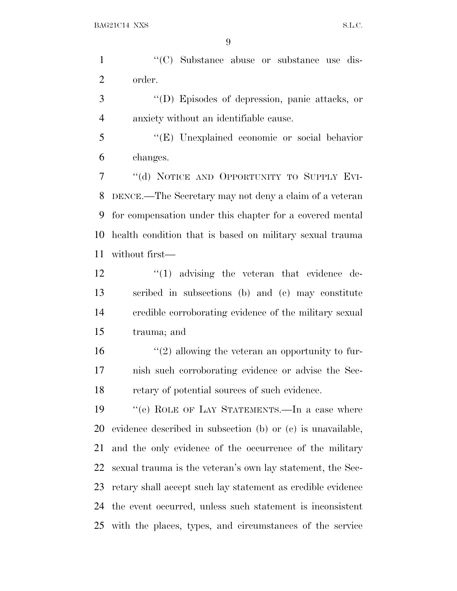1 ''(C) Substance abuse or substance use dis-order.

 ''(D) Episodes of depression, panic attacks, or anxiety without an identifiable cause.

 ''(E) Unexplained economic or social behavior changes.

 ''(d) NOTICE AND OPPORTUNITY TO SUPPLY EVI- DENCE.—The Secretary may not deny a claim of a veteran for compensation under this chapter for a covered mental health condition that is based on military sexual trauma without first—

 $\frac{1}{2}$   $\frac{1}{2}$  advising the veteran that evidence de- scribed in subsections (b) and (c) may constitute credible corroborating evidence of the military sexual trauma; and

 $\frac{16}{2}$   $\frac{16}{2}$  allowing the veteran an opportunity to fur- nish such corroborating evidence or advise the Sec-retary of potential sources of such evidence.

 ''(e) ROLE OF LAY STATEMENTS.—In a case where evidence described in subsection (b) or (c) is unavailable, and the only evidence of the occurrence of the military sexual trauma is the veteran's own lay statement, the Sec- retary shall accept such lay statement as credible evidence the event occurred, unless such statement is inconsistent with the places, types, and circumstances of the service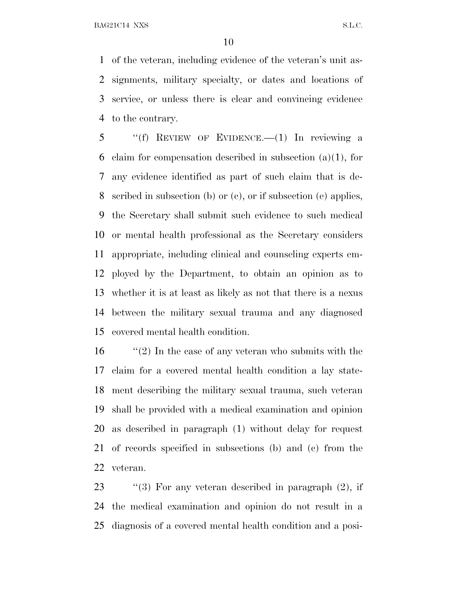BAG21C14 NXS S.L.C.

 of the veteran, including evidence of the veteran's unit as- signments, military specialty, or dates and locations of service, or unless there is clear and convincing evidence to the contrary.

 ''(f) REVIEW OF EVIDENCE.—(1) In reviewing a 6 claim for compensation described in subsection  $(a)(1)$ , for any evidence identified as part of such claim that is de- scribed in subsection (b) or (c), or if subsection (e) applies, the Secretary shall submit such evidence to such medical or mental health professional as the Secretary considers appropriate, including clinical and counseling experts em- ployed by the Department, to obtain an opinion as to whether it is at least as likely as not that there is a nexus between the military sexual trauma and any diagnosed covered mental health condition.

 ''(2) In the case of any veteran who submits with the claim for a covered mental health condition a lay state- ment describing the military sexual trauma, such veteran shall be provided with a medical examination and opinion as described in paragraph (1) without delay for request of records specified in subsections (b) and (c) from the veteran.

23 "(3) For any veteran described in paragraph (2), if the medical examination and opinion do not result in a diagnosis of a covered mental health condition and a posi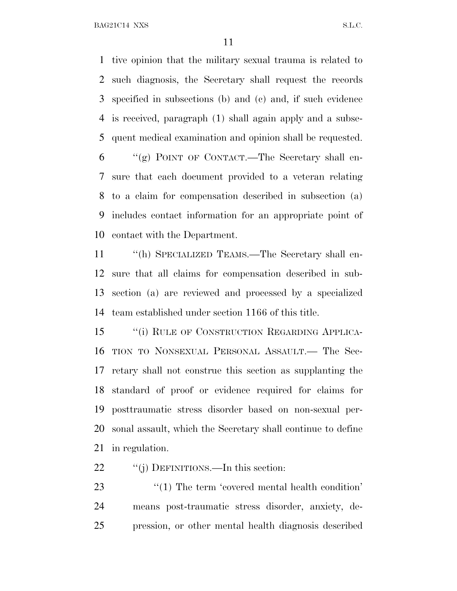BAG21C14 NXS S.L.C.

 tive opinion that the military sexual trauma is related to such diagnosis, the Secretary shall request the records specified in subsections (b) and (c) and, if such evidence is received, paragraph (1) shall again apply and a subse-quent medical examination and opinion shall be requested.

 ''(g) POINT OF CONTACT.—The Secretary shall en- sure that each document provided to a veteran relating to a claim for compensation described in subsection (a) includes contact information for an appropriate point of contact with the Department.

 ''(h) SPECIALIZED TEAMS.—The Secretary shall en- sure that all claims for compensation described in sub- section (a) are reviewed and processed by a specialized team established under section 1166 of this title.

15 "(i) RULE OF CONSTRUCTION REGARDING APPLICA- TION TO NONSEXUAL PERSONAL ASSAULT.— The Sec- retary shall not construe this section as supplanting the standard of proof or evidence required for claims for posttraumatic stress disorder based on non-sexual per- sonal assault, which the Secretary shall continue to define in regulation.

22 "(j) DEFINITIONS.—In this section:

23 ''(1) The term 'covered mental health condition' means post-traumatic stress disorder, anxiety, de-pression, or other mental health diagnosis described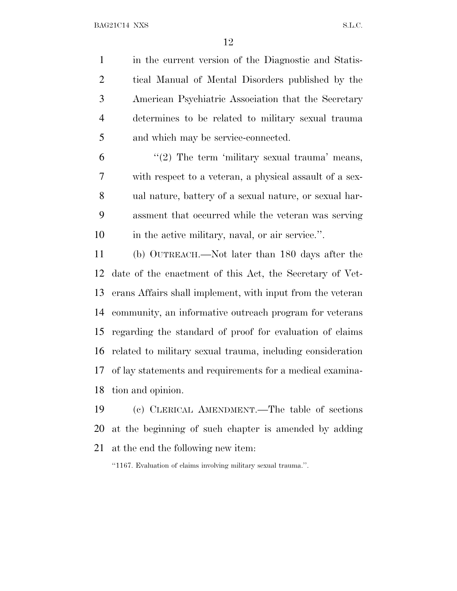in the current version of the Diagnostic and Statis- tical Manual of Mental Disorders published by the American Psychiatric Association that the Secretary determines to be related to military sexual trauma and which may be service-connected.

 $(2)$  The term 'military sexual trauma' means, with respect to a veteran, a physical assault of a sex- ual nature, battery of a sexual nature, or sexual har- assment that occurred while the veteran was serving in the active military, naval, or air service.''.

 (b) OUTREACH.—Not later than 180 days after the date of the enactment of this Act, the Secretary of Vet- erans Affairs shall implement, with input from the veteran community, an informative outreach program for veterans regarding the standard of proof for evaluation of claims related to military sexual trauma, including consideration of lay statements and requirements for a medical examina-tion and opinion.

 (c) CLERICAL AMENDMENT.—The table of sections at the beginning of such chapter is amended by adding at the end the following new item:

''1167. Evaluation of claims involving military sexual trauma.''.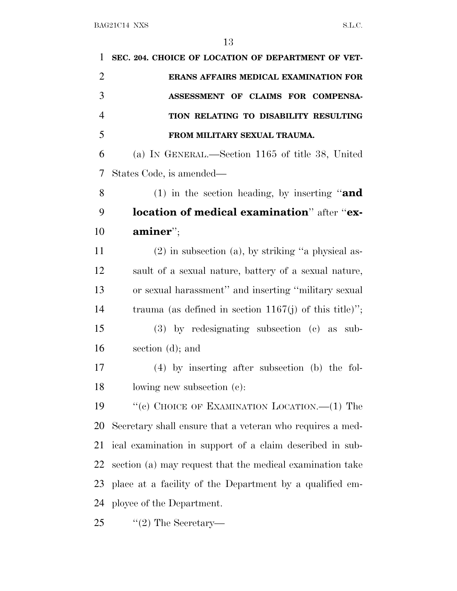| 1              | SEC. 204. CHOICE OF LOCATION OF DEPARTMENT OF VET-        |
|----------------|-----------------------------------------------------------|
| $\overline{2}$ | ERANS AFFAIRS MEDICAL EXAMINATION FOR                     |
| 3              | ASSESSMENT OF CLAIMS FOR COMPENSA-                        |
| $\overline{4}$ | TION RELATING TO DISABILITY RESULTING                     |
| 5              | FROM MILITARY SEXUAL TRAUMA.                              |
| 6              | (a) IN GENERAL.—Section 1165 of title 38, United          |
| 7              | States Code, is amended—                                  |
| 8              | (1) in the section heading, by inserting "and             |
| 9              | location of medical examination" after "ex-               |
| 10             | $\mathbf{aminer}$ ";                                      |
| 11             | $(2)$ in subsection (a), by striking "a physical as-      |
| 12             | sault of a sexual nature, battery of a sexual nature,     |
| 13             | or sexual harassment" and inserting "military sexual      |
| 14             | trauma (as defined in section 1167(j) of this title)";    |
| 15             | $(3)$ by redesignating subsection $(e)$ as sub-           |
| 16             | section (d); and                                          |
| 17             | $(4)$ by inserting after subsection (b) the fol-          |
| 18             | lowing new subsection (c):                                |
| 19             | "(c) CHOICE OF EXAMINATION LOCATION.— $(1)$ The           |
| 20             | Secretary shall ensure that a veteran who requires a med- |
| 21             | ical examination in support of a claim described in sub-  |
| 22             | section (a) may request that the medical examination take |
| 23             | place at a facility of the Department by a qualified em-  |
| 24             | ployee of the Department.                                 |
| 25             | $\lq(2)$ The Secretary—                                   |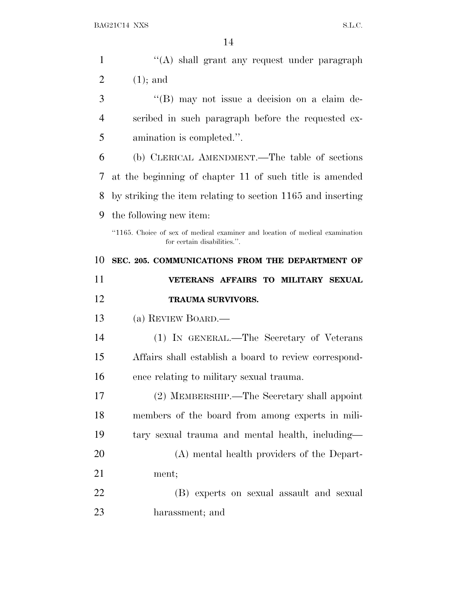| $\mathbf{1}$   | "(A) shall grant any request under paragraph                                                                |
|----------------|-------------------------------------------------------------------------------------------------------------|
| $\overline{2}$ | $(1)$ ; and                                                                                                 |
| 3              | $\lq\lq (B)$ may not issue a decision on a claim de-                                                        |
| 4              | scribed in such paragraph before the requested ex-                                                          |
| 5              | amination is completed.".                                                                                   |
| 6              | (b) CLERICAL AMENDMENT.—The table of sections                                                               |
| 7              | at the beginning of chapter 11 of such title is amended                                                     |
| 8              | by striking the item relating to section 1165 and inserting                                                 |
| 9              | the following new item:                                                                                     |
|                | "1165. Choice of sex of medical examiner and location of medical examination<br>for certain disabilities.". |
| 10             | SEC. 205. COMMUNICATIONS FROM THE DEPARTMENT OF                                                             |
|                | VETERANS AFFAIRS TO MILITARY SEXUAL                                                                         |
| 11             |                                                                                                             |
| 12             | <b>TRAUMA SURVIVORS.</b>                                                                                    |
| 13             | (a) REVIEW BOARD.—                                                                                          |
| 14             | (1) IN GENERAL.—The Secretary of Veterans                                                                   |
| 15             | Affairs shall establish a board to review correspond-                                                       |
| 16             | ence relating to military sexual trauma.                                                                    |
| 17             | (2) MEMBERSHIP.—The Secretary shall appoint                                                                 |
| 18             | members of the board from among experts in mili-                                                            |
| 19             | tary sexual trauma and mental health, including—                                                            |
| 20             | (A) mental health providers of the Depart-                                                                  |
| 21             | ment;                                                                                                       |
| 22             | (B) experts on sexual assault and sexual                                                                    |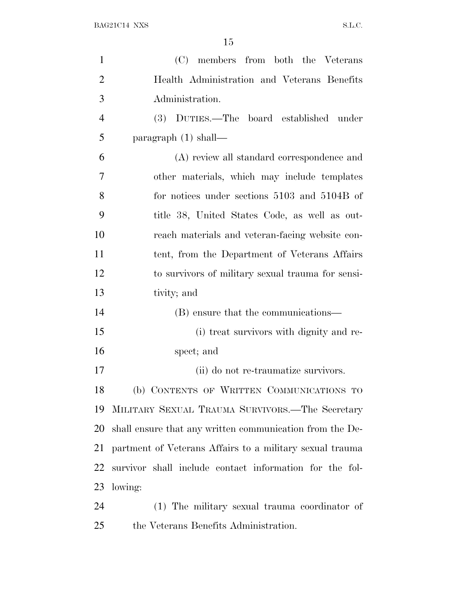| $\mathbf{1}$   | (C) members from both the Veterans                       |
|----------------|----------------------------------------------------------|
| $\overline{2}$ | Health Administration and Veterans Benefits              |
| 3              | Administration.                                          |
| $\overline{4}$ | (3) DUTIES.—The board established under                  |
| 5              | paragraph $(1)$ shall—                                   |
| 6              | (A) review all standard correspondence and               |
| 7              | other materials, which may include templates             |
| 8              | for notices under sections 5103 and 5104B of             |
| 9              | title 38, United States Code, as well as out-            |
| 10             | reach materials and veteran-facing website con-          |
| 11             | tent, from the Department of Veterans Affairs            |
| 12             | to survivors of military sexual trauma for sensi-        |
| 13             | tivity; and                                              |
| 14             | (B) ensure that the communications—                      |
| 15             | (i) treat survivors with dignity and re-                 |
| 16             | spect; and                                               |
| 17             | (ii) do not re-traumatize survivors.                     |
| 18             | (b) CONTENTS OF WRITTEN COMMUNICATIONS TO                |
| 19             | MILITARY SEXUAL TRAUMA SURVIVORS.—The Secretary          |
| 20             | shall ensure that any written communication from the De- |
| 21             | partment of Veterans Affairs to a military sexual trauma |
| 22             | survivor shall include contact information for the fol-  |
| 23             | lowing:                                                  |
| 24             | (1) The military sexual trauma coordinator of            |
| 25             | the Veterans Benefits Administration.                    |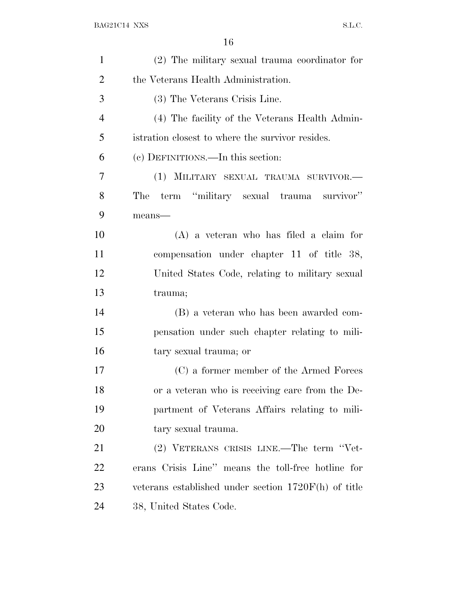| $\mathbf{1}$   | (2) The military sexual trauma coordinator for       |
|----------------|------------------------------------------------------|
| $\overline{2}$ | the Veterans Health Administration.                  |
| 3              | (3) The Veterans Crisis Line.                        |
| $\overline{4}$ | (4) The facility of the Veterans Health Admin-       |
| 5              | istration closest to where the survivor resides.     |
| 6              | (c) DEFINITIONS.—In this section:                    |
| 7              | (1) MILITARY SEXUAL TRAUMA SURVIVOR.-                |
| 8              | term "military sexual trauma survivor"<br>The        |
| 9              | means-                                               |
| 10             | $(A)$ a veteran who has filed a claim for            |
| 11             | compensation under chapter 11 of title 38,           |
| 12             | United States Code, relating to military sexual      |
| 13             | trauma;                                              |
| 14             | (B) a veteran who has been awarded com-              |
| 15             | pensation under such chapter relating to mili-       |
| 16             | tary sexual trauma; or                               |
| 17             | (C) a former member of the Armed Forces              |
| 18             | or a veteran who is receiving care from the De-      |
| 19             | partment of Veterans Affairs relating to mili-       |
| 20             | tary sexual trauma.                                  |
| 21             | (2) VETERANS CRISIS LINE.—The term "Vet-             |
| <u>22</u>      | erans Crisis Line" means the toll-free hotline for   |
| 23             | veterans established under section 1720F(h) of title |
| 24             | 38, United States Code.                              |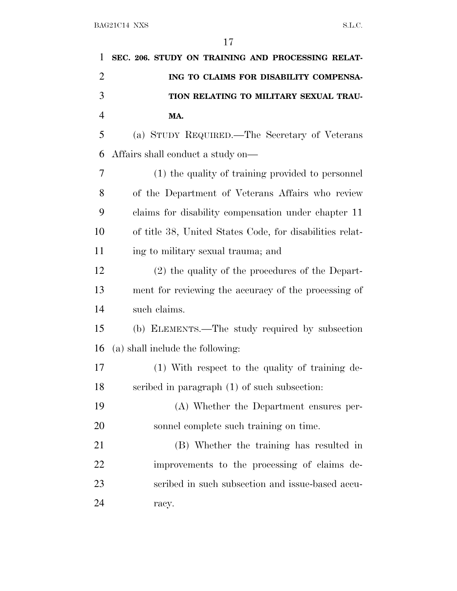| 1              | SEC. 206. STUDY ON TRAINING AND PROCESSING RELAT-        |
|----------------|----------------------------------------------------------|
| $\overline{2}$ | ING TO CLAIMS FOR DISABILITY COMPENSA-                   |
| 3              | TION RELATING TO MILITARY SEXUAL TRAU-                   |
| $\overline{4}$ | MA.                                                      |
| 5              | (a) STUDY REQUIRED.—The Secretary of Veterans            |
| 6              | Affairs shall conduct a study on—                        |
| 7              | (1) the quality of training provided to personnel        |
| 8              | of the Department of Veterans Affairs who review         |
| 9              | claims for disability compensation under chapter 11      |
| 10             | of title 38, United States Code, for disabilities relat- |
| 11             | ing to military sexual trauma; and                       |
| 12             | (2) the quality of the procedures of the Depart-         |
| 13             | ment for reviewing the accuracy of the processing of     |
| 14             | such claims.                                             |
| 15             | (b) ELEMENTS.—The study required by subsection           |
| 16             | (a) shall include the following:                         |
| 17             | (1) With respect to the quality of training de-          |
| 18             | scribed in paragraph $(1)$ of such subsection:           |
| 19             | (A) Whether the Department ensures per-                  |
| 20             | sonnel complete such training on time.                   |
| 21             | (B) Whether the training has resulted in                 |
| 22             | improvements to the processing of claims de-             |
| 23             | scribed in such subsection and issue-based accu-         |
| 24             | racy.                                                    |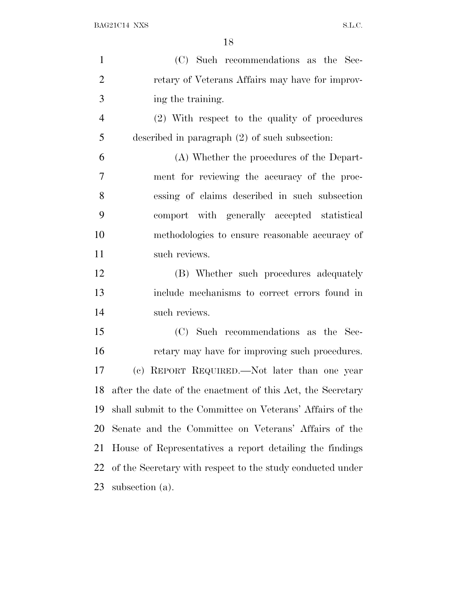| $\mathbf{1}$   | (C) Such recommendations as the Sec-                       |
|----------------|------------------------------------------------------------|
| $\overline{2}$ | retary of Veterans Affairs may have for improv-            |
| 3              | ing the training.                                          |
| $\overline{4}$ | (2) With respect to the quality of procedures              |
| 5              | described in paragraph $(2)$ of such subsection:           |
| 6              | (A) Whether the procedures of the Depart-                  |
| 7              | ment for reviewing the accuracy of the proc-               |
| 8              | essing of claims described in such subsection              |
| 9              | comport with generally accepted statistical                |
| 10             | methodologies to ensure reasonable accuracy of             |
| 11             | such reviews.                                              |
| 12             | (B) Whether such procedures adequately                     |
| 13             | include mechanisms to correct errors found in              |
| 14             | such reviews.                                              |
| 15             | (C) Such recommendations as the Sec-                       |
| 16             | retary may have for improving such procedures.             |
| 17             | (c) REPORT REQUIRED.—Not later than one year               |
| 18             | after the date of the enactment of this Act, the Secretary |
| 19             | shall submit to the Committee on Veterans' Affairs of the  |
| 20             | Senate and the Committee on Veterans' Affairs of the       |
| 21             | House of Representatives a report detailing the findings   |
| 22             | of the Secretary with respect to the study conducted under |
| 23             | subsection (a).                                            |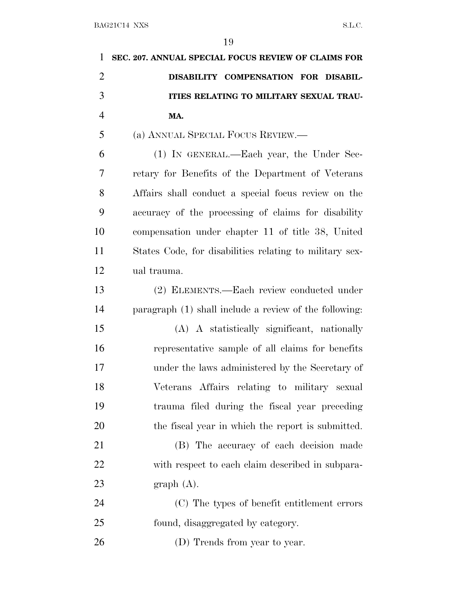| 1              | SEC. 207. ANNUAL SPECIAL FOCUS REVIEW OF CLAIMS FOR     |
|----------------|---------------------------------------------------------|
| $\overline{2}$ | DISABILITY COMPENSATION FOR DISABIL-                    |
| 3              | ITIES RELATING TO MILITARY SEXUAL TRAU-                 |
| $\overline{4}$ | MA.                                                     |
| 5              | (a) ANNUAL SPECIAL FOCUS REVIEW.                        |
| 6              | (1) IN GENERAL.—Each year, the Under Sec-               |
| 7              | retary for Benefits of the Department of Veterans       |
| 8              | Affairs shall conduct a special focus review on the     |
| 9              | accuracy of the processing of claims for disability     |
| 10             | compensation under chapter 11 of title 38, United       |
| 11             | States Code, for disabilities relating to military sex- |
| 12             | ual trauma.                                             |
| 13             | (2) ELEMENTS.—Each review conducted under               |
| 14             | paragraph (1) shall include a review of the following:  |
| 15             | (A) A statistically significant, nationally             |
| 16             | representative sample of all claims for benefits        |
| 17             | under the laws administered by the Secretary of         |
| 18             | Veterans Affairs relating to military sexual            |
| 19             | trauma filed during the fiscal year preceding           |
| 20             | the fiscal year in which the report is submitted.       |
| 21             | (B) The accuracy of each decision made                  |
| 22             | with respect to each claim described in subpara-        |
| 23             | graph(A).                                               |
| 24             | (C) The types of benefit entitlement errors             |
| 25             | found, disaggregated by category.                       |
| 26             | (D) Trends from year to year.                           |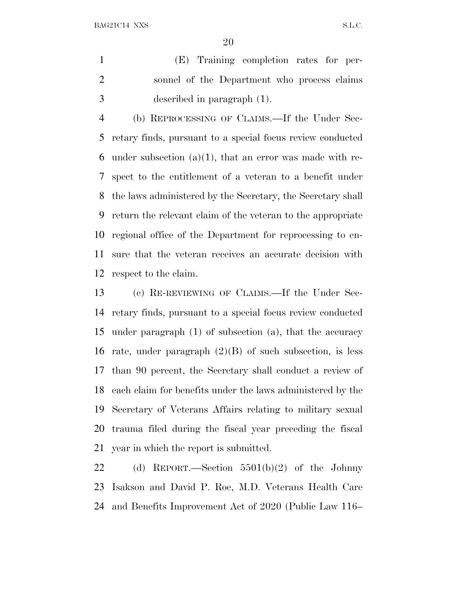BAG21C14 NXS S.L.C.

 (E) Training completion rates for per- sonnel of the Department who process claims described in paragraph (1).

 (b) REPROCESSING OF CLAIMS.—If the Under Sec- retary finds, pursuant to a special focus review conducted 6 under subsection  $(a)(1)$ , that an error was made with re- spect to the entitlement of a veteran to a benefit under the laws administered by the Secretary, the Secretary shall return the relevant claim of the veteran to the appropriate regional office of the Department for reprocessing to en- sure that the veteran receives an accurate decision with respect to the claim.

 (c) RE-REVIEWING OF CLAIMS.—If the Under Sec- retary finds, pursuant to a special focus review conducted under paragraph (1) of subsection (a), that the accuracy 16 rate, under paragraph  $(2)(B)$  of such subsection, is less than 90 percent, the Secretary shall conduct a review of each claim for benefits under the laws administered by the Secretary of Veterans Affairs relating to military sexual trauma filed during the fiscal year preceding the fiscal year in which the report is submitted.

 (d) REPORT.—Section 5501(b)(2) of the Johnny Isakson and David P. Roe, M.D. Veterans Health Care and Benefits Improvement Act of 2020 (Public Law 116–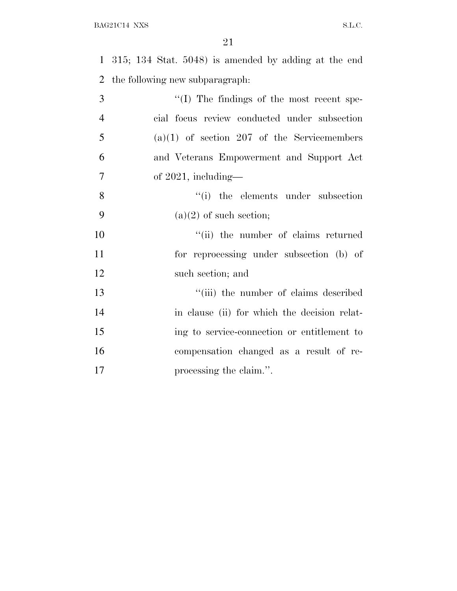315; 134 Stat. 5048) is amended by adding at the end the following new subparagraph: ''(I) The findings of the most recent spe-

| $\overline{4}$ | cial focus review conducted under subsection  |
|----------------|-----------------------------------------------|
| $\overline{5}$ | $(a)(1)$ of section 207 of the Servicemembers |
| 6              | and Veterans Empowerment and Support Act      |
| -7             | of $2021$ , including—                        |
| 8              | "(i) the elements under subsection            |
| - 9            | $(a)(2)$ of such section;                     |
| 10             | "(ii) the number of claims returned           |
| 11             | for reprocessing under subsection (b) of      |

 ''(iii) the number of claims described in clause (ii) for which the decision relat- ing to service-connection or entitlement to compensation changed as a result of re-**processing the claim.''.** 

such section; and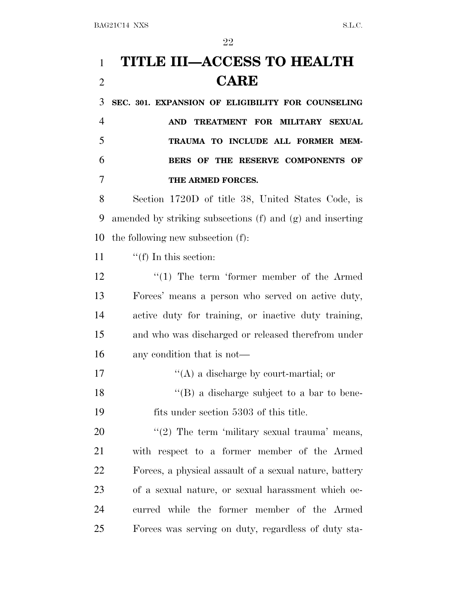# **TITLE III—ACCESS TO HEALTH CARE**

 **SEC. 301. EXPANSION OF ELIGIBILITY FOR COUNSELING AND TREATMENT FOR MILITARY SEXUAL TRAUMA TO INCLUDE ALL FORMER MEM- BERS OF THE RESERVE COMPONENTS OF THE ARMED FORCES.**

 Section 1720D of title 38, United States Code, is amended by striking subsections (f) and (g) and inserting the following new subsection (f):

11  $\frac{f'(f)}{f}$  In this section:

12 ''(1) The term 'former member of the Armed Forces' means a person who served on active duty, active duty for training, or inactive duty training, and who was discharged or released therefrom under any condition that is not—

17  $\langle (A)$  a discharge by court-martial; or 18 ''(B) a discharge subject to a bar to bene-

fits under section 5303 of this title.

 $\frac{u(2)}{2}$  The term 'military sexual trauma' means, with respect to a former member of the Armed Forces, a physical assault of a sexual nature, battery of a sexual nature, or sexual harassment which oc- curred while the former member of the Armed Forces was serving on duty, regardless of duty sta-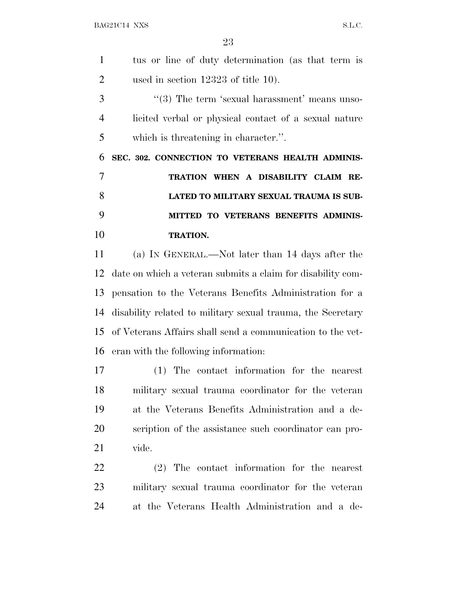| $\mathbf{1}$   | tus or line of duty determination (as that term is             |
|----------------|----------------------------------------------------------------|
| 2              | used in section 12323 of title 10).                            |
| 3              | $\cdot\cdot$ (3) The term 'sexual harassment' means unso-      |
| $\overline{4}$ | licited verbal or physical contact of a sexual nature          |
| 5              | which is threatening in character.".                           |
| 6              | SEC. 302. CONNECTION TO VETERANS HEALTH ADMINIS-               |
| $\overline{7}$ | TRATION WHEN A DISABILITY CLAIM RE-                            |
| 8              | LATED TO MILITARY SEXUAL TRAUMA IS SUB-                        |
| 9              | MITTED TO VETERANS BENEFITS ADMINIS-                           |
| 10             | <b>TRATION.</b>                                                |
| 11             | (a) IN GENERAL.—Not later than 14 days after the               |
|                | 12 date on which a veteran submits a claim for disability com- |
|                | 13 pensation to the Veterans Benefits Administration for a     |

 disability related to military sexual trauma, the Secretary of Veterans Affairs shall send a communication to the vet-eran with the following information:

 (1) The contact information for the nearest military sexual trauma coordinator for the veteran at the Veterans Benefits Administration and a de- scription of the assistance such coordinator can pro-vide.

 (2) The contact information for the nearest military sexual trauma coordinator for the veteran at the Veterans Health Administration and a de-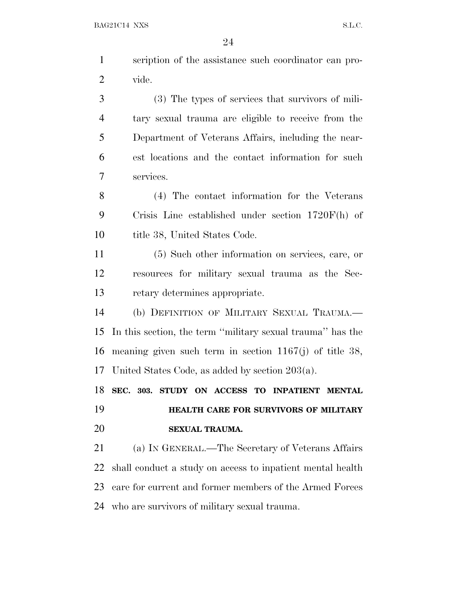|                | 24                                                         |
|----------------|------------------------------------------------------------|
| $\mathbf{1}$   | scription of the assistance such coordinator can pro-      |
| $\overline{2}$ | vide.                                                      |
| 3              | (3) The types of services that survivors of mili-          |
| $\overline{4}$ | tary sexual trauma are eligible to receive from the        |
| 5              | Department of Veterans Affairs, including the near-        |
| 6              | est locations and the contact information for such         |
| 7              | services.                                                  |
| 8              | (4) The contact information for the Veterans               |
| 9              | Crisis Line established under section $1720F(h)$ of        |
| 10             | title 38, United States Code.                              |
| 11             | (5) Such other information on services, care, or           |
| 12             | resources for military sexual trauma as the Sec-           |
| 13             | retary determines appropriate.                             |
| 14             | (b) DEFINITION OF MILITARY SEXUAL TRAUMA.                  |
| 15             | In this section, the term "military sexual trauma" has the |
| 16             | meaning given such term in section $1167(j)$ of title 38,  |
| 17             | United States Code, as added by section $203(a)$ .         |
| 18             | SEC. 303. STUDY ON ACCESS TO INPATIENT MENTAL              |
| 19             | HEALTH CARE FOR SURVIVORS OF MILITARY                      |
| 20             | SEXUAL TRAUMA.                                             |
| 21             | (a) IN GENERAL.—The Secretary of Veterans Affairs          |

 shall conduct a study on access to inpatient mental health care for current and former members of the Armed Forces who are survivors of military sexual trauma.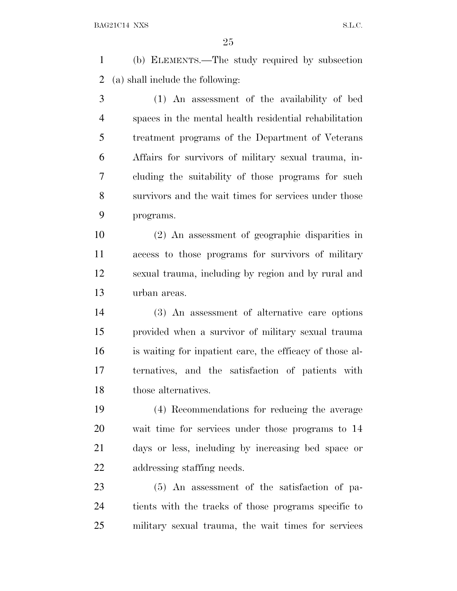(b) ELEMENTS.—The study required by subsection (a) shall include the following:

 (1) An assessment of the availability of bed spaces in the mental health residential rehabilitation treatment programs of the Department of Veterans Affairs for survivors of military sexual trauma, in- cluding the suitability of those programs for such survivors and the wait times for services under those programs.

 (2) An assessment of geographic disparities in access to those programs for survivors of military sexual trauma, including by region and by rural and urban areas.

 (3) An assessment of alternative care options provided when a survivor of military sexual trauma is waiting for inpatient care, the efficacy of those al- ternatives, and the satisfaction of patients with those alternatives.

 (4) Recommendations for reducing the average wait time for services under those programs to 14 days or less, including by increasing bed space or addressing staffing needs.

 (5) An assessment of the satisfaction of pa- tients with the tracks of those programs specific to military sexual trauma, the wait times for services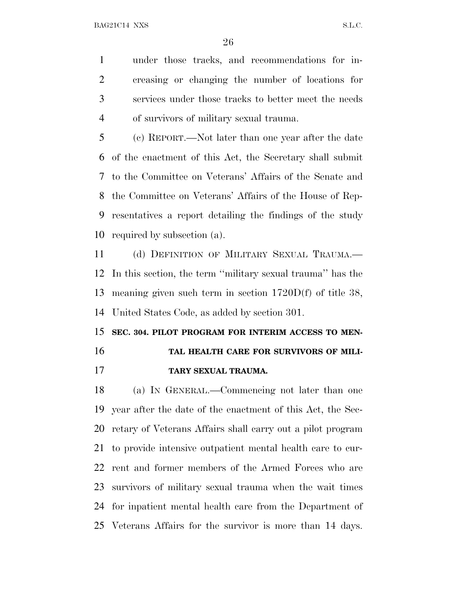under those tracks, and recommendations for in- creasing or changing the number of locations for services under those tracks to better meet the needs of survivors of military sexual trauma.

 (c) REPORT.—Not later than one year after the date of the enactment of this Act, the Secretary shall submit to the Committee on Veterans' Affairs of the Senate and the Committee on Veterans' Affairs of the House of Rep- resentatives a report detailing the findings of the study required by subsection (a).

 (d) DEFINITION OF MILITARY SEXUAL TRAUMA.— In this section, the term ''military sexual trauma'' has the meaning given such term in section 1720D(f) of title 38, United States Code, as added by section 301.

### **SEC. 304. PILOT PROGRAM FOR INTERIM ACCESS TO MEN-TAL HEALTH CARE FOR SURVIVORS OF MILI-**

**TARY SEXUAL TRAUMA.**

 (a) I<sup>N</sup> GENERAL.—Commencing not later than one year after the date of the enactment of this Act, the Sec- retary of Veterans Affairs shall carry out a pilot program to provide intensive outpatient mental health care to cur- rent and former members of the Armed Forces who are survivors of military sexual trauma when the wait times for inpatient mental health care from the Department of Veterans Affairs for the survivor is more than 14 days.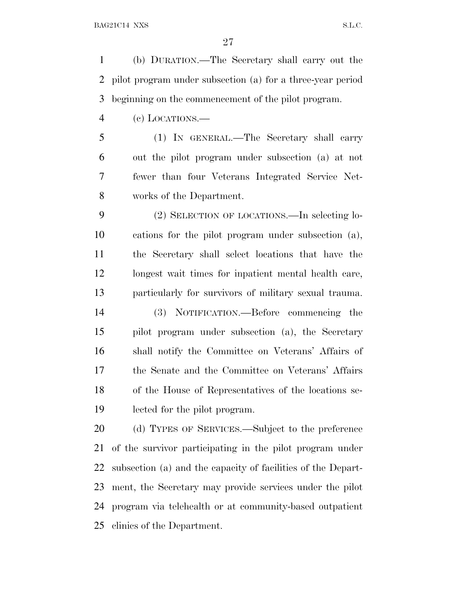(b) DURATION.—The Secretary shall carry out the pilot program under subsection (a) for a three-year period beginning on the commencement of the pilot program.

(c) LOCATIONS.—

 (1) IN GENERAL.—The Secretary shall carry out the pilot program under subsection (a) at not fewer than four Veterans Integrated Service Net-works of the Department.

 (2) SELECTION OF LOCATIONS.—In selecting lo- cations for the pilot program under subsection (a), the Secretary shall select locations that have the longest wait times for inpatient mental health care, particularly for survivors of military sexual trauma.

 (3) NOTIFICATION.—Before commencing the pilot program under subsection (a), the Secretary shall notify the Committee on Veterans' Affairs of the Senate and the Committee on Veterans' Affairs of the House of Representatives of the locations se-lected for the pilot program.

 (d) TYPES OF SERVICES.—Subject to the preference of the survivor participating in the pilot program under subsection (a) and the capacity of facilities of the Depart- ment, the Secretary may provide services under the pilot program via telehealth or at community-based outpatient clinics of the Department.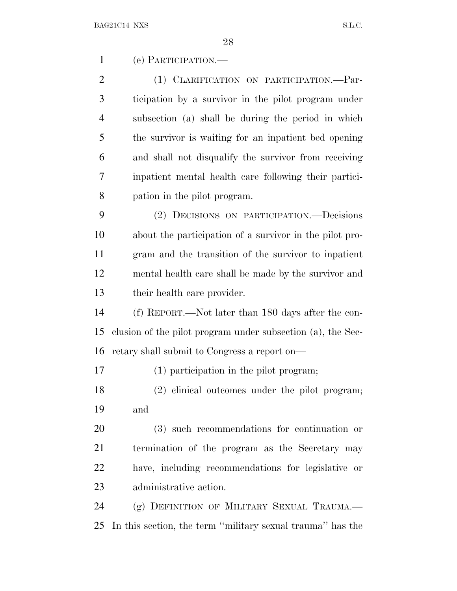(e) PARTICIPATION.—

2 (1) CLARIFICATION ON PARTICIPATION.—Par- ticipation by a survivor in the pilot program under subsection (a) shall be during the period in which the survivor is waiting for an inpatient bed opening and shall not disqualify the survivor from receiving inpatient mental health care following their partici-pation in the pilot program.

 (2) DECISIONS ON PARTICIPATION.—Decisions about the participation of a survivor in the pilot pro- gram and the transition of the survivor to inpatient mental health care shall be made by the survivor and their health care provider.

 (f) REPORT.—Not later than 180 days after the con- clusion of the pilot program under subsection (a), the Sec-retary shall submit to Congress a report on—

(1) participation in the pilot program;

 (2) clinical outcomes under the pilot program; and

 (3) such recommendations for continuation or termination of the program as the Secretary may have, including recommendations for legislative or administrative action.

 (g) DEFINITION OF MILITARY SEXUAL TRAUMA.— In this section, the term ''military sexual trauma'' has the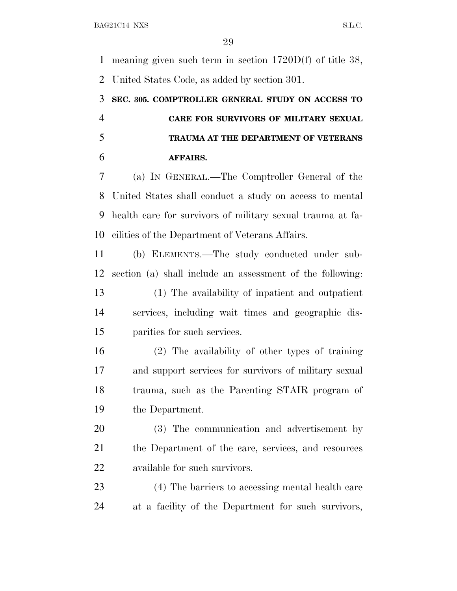meaning given such term in section 1720D(f) of title 38, United States Code, as added by section 301.

 **SEC. 305. COMPTROLLER GENERAL STUDY ON ACCESS TO CARE FOR SURVIVORS OF MILITARY SEXUAL TRAUMA AT THE DEPARTMENT OF VETERANS AFFAIRS.**

 (a) I<sup>N</sup> GENERAL.—The Comptroller General of the United States shall conduct a study on access to mental health care for survivors of military sexual trauma at fa-cilities of the Department of Veterans Affairs.

 (b) ELEMENTS.—The study conducted under sub- section (a) shall include an assessment of the following: (1) The availability of inpatient and outpatient services, including wait times and geographic dis-parities for such services.

 (2) The availability of other types of training and support services for survivors of military sexual trauma, such as the Parenting STAIR program of the Department.

 (3) The communication and advertisement by the Department of the care, services, and resources available for such survivors.

 (4) The barriers to accessing mental health care at a facility of the Department for such survivors,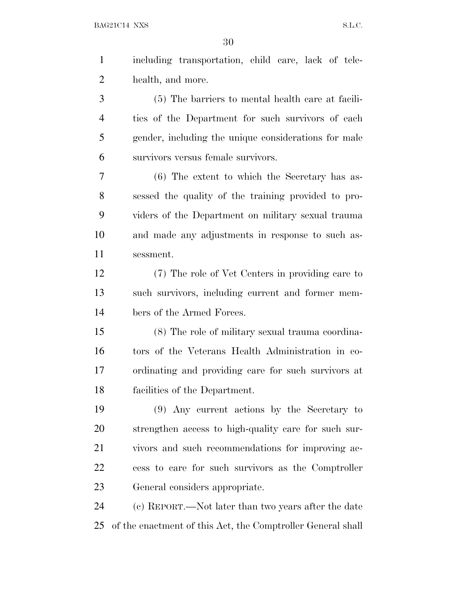BAG21C14 NXS S.L.C.

 including transportation, child care, lack of tele- health, and more. (5) The barriers to mental health care at facili- ties of the Department for such survivors of each gender, including the unique considerations for male survivors versus female survivors. (6) The extent to which the Secretary has as- sessed the quality of the training provided to pro- viders of the Department on military sexual trauma and made any adjustments in response to such as- sessment. (7) The role of Vet Centers in providing care to such survivors, including current and former mem- bers of the Armed Forces. (8) The role of military sexual trauma coordina- tors of the Veterans Health Administration in co- ordinating and providing care for such survivors at facilities of the Department. (9) Any current actions by the Secretary to strengthen access to high-quality care for such sur- vivors and such recommendations for improving ac- cess to care for such survivors as the Comptroller General considers appropriate.

 (c) REPORT.—Not later than two years after the date of the enactment of this Act, the Comptroller General shall